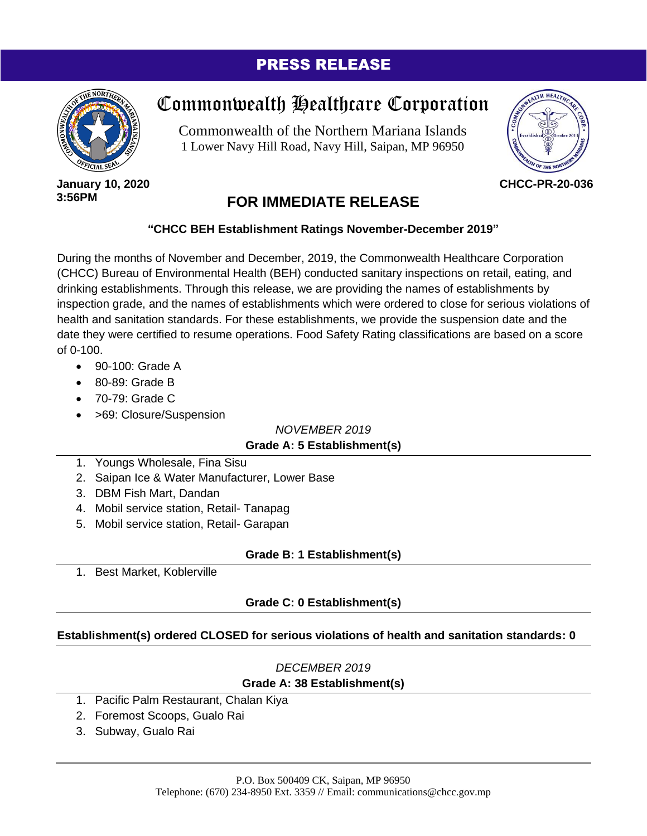# PRESS RELEASE



# Commonwealth Healthcare Corporation

Commonwealth of the Northern Mariana Islands 1 Lower Navy Hill Road, Navy Hill, Saipan, MP 96950



**January 10, 2020 3:56PM**

# **FOR IMMEDIATE RELEASE**

#### **"CHCC BEH Establishment Ratings November-December 2019"**

During the months of November and December, 2019, the Commonwealth Healthcare Corporation (CHCC) Bureau of Environmental Health (BEH) conducted sanitary inspections on retail, eating, and drinking establishments. Through this release, we are providing the names of establishments by inspection grade, and the names of establishments which were ordered to close for serious violations of health and sanitation standards. For these establishments, we provide the suspension date and the date they were certified to resume operations. Food Safety Rating classifications are based on a score of 0-100.

- 90-100: Grade A
- 80-89: Grade B
- 70-79: Grade C
- >69: Closure/Suspension

*NOVEMBER 2019*

## **Grade A: 5 Establishment(s)**

- 1. Youngs Wholesale, Fina Sisu
- 2. Saipan Ice & Water Manufacturer, Lower Base
- 3. DBM Fish Mart, Dandan
- 4. Mobil service station, Retail- Tanapag
- 5. Mobil service station, Retail- Garapan

## **Grade B: 1 Establishment(s)**

1. Best Market, Koblerville

## **Grade C: 0 Establishment(s)**

## **Establishment(s) ordered CLOSED for serious violations of health and sanitation standards: 0**

# *DECEMBER 2019* **Grade A: 38 Establishment(s)**

- 1. Pacific Palm Restaurant, Chalan Kiya
- 2. Foremost Scoops, Gualo Rai
- 3. Subway, Gualo Rai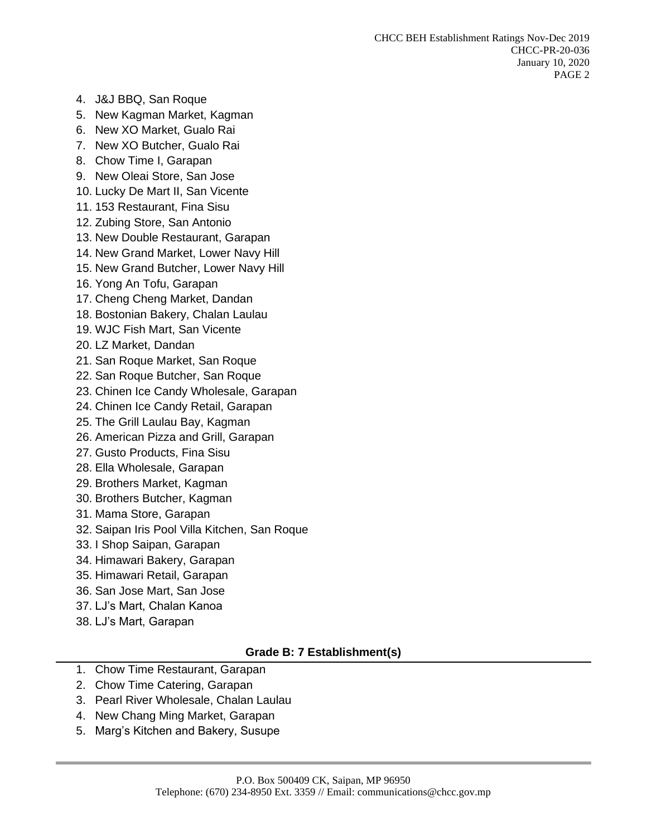- 4. J&J BBQ, San Roque
- 5. New Kagman Market, Kagman
- 6. New XO Market, Gualo Rai
- 7. New XO Butcher, Gualo Rai
- 8. Chow Time I, Garapan
- 9. New Oleai Store, San Jose
- 10. Lucky De Mart II, San Vicente
- 11. 153 Restaurant, Fina Sisu
- 12. Zubing Store, San Antonio
- 13. New Double Restaurant, Garapan
- 14. New Grand Market, Lower Navy Hill
- 15. New Grand Butcher, Lower Navy Hill
- 16. Yong An Tofu, Garapan
- 17. Cheng Cheng Market, Dandan
- 18. Bostonian Bakery, Chalan Laulau
- 19. WJC Fish Mart, San Vicente
- 20. LZ Market, Dandan
- 21. San Roque Market, San Roque
- 22. San Roque Butcher, San Roque
- 23. Chinen Ice Candy Wholesale, Garapan
- 24. Chinen Ice Candy Retail, Garapan
- 25. The Grill Laulau Bay, Kagman
- 26. American Pizza and Grill, Garapan
- 27. Gusto Products, Fina Sisu
- 28. Ella Wholesale, Garapan
- 29. Brothers Market, Kagman
- 30. Brothers Butcher, Kagman
- 31. Mama Store, Garapan
- 32. Saipan Iris Pool Villa Kitchen, San Roque
- 33. I Shop Saipan, Garapan
- 34. Himawari Bakery, Garapan
- 35. Himawari Retail, Garapan
- 36. San Jose Mart, San Jose
- 37. LJ's Mart, Chalan Kanoa
- 38. LJ's Mart, Garapan

#### **Grade B: 7 Establishment(s)**

- 1. Chow Time Restaurant, Garapan
- 2. Chow Time Catering, Garapan
- 3. Pearl River Wholesale, Chalan Laulau
- 4. New Chang Ming Market, Garapan
- 5. Marg's Kitchen and Bakery, Susupe